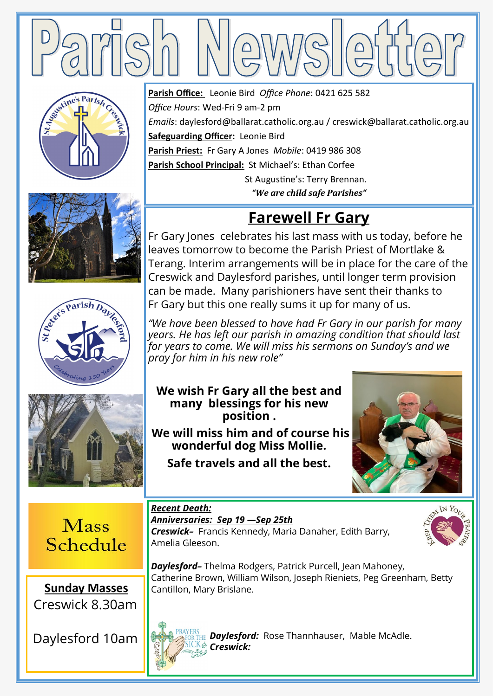









**Parish Office:** Leonie Bird *Office Phone*: 0421 625 582 *Office Hours*: Wed-Fri 9 am-2 pm *Emails*: daylesford@ballarat.catholic.org.au / creswick@ballarat.catholic.org.au **Safeguarding Officer:** Leonie Bird **Parish Priest:** Fr Gary A Jones *Mobile*: 0419 986 308 **Parish School Principal:** St Michael's: Ethan Corfee St Augustine's: Terry Brennan.

*"We are child safe Parishes"*

## **Farewell Fr Gary**

Fr Gary Jones celebrates his last mass with us today, before he leaves tomorrow to become the Parish Priest of Mortlake & Terang. Interim arrangements will be in place for the care of the Creswick and Daylesford parishes, until longer term provision can be made. Many parishioners have sent their thanks to Fr Gary but this one really sums it up for many of us.

*"We have been blessed to have had Fr Gary in our parish for many years. He has left our parish in amazing condition that should last for years to come. We will miss his sermons on Sunday's and we pray for him in his new role"*

**We wish Fr Gary all the best and many blessings for his new position .**

**We will miss him and of course his wonderful dog Miss Mollie.**

**Safe travels and all the best.** 

*Anniversaries: Sep 19 —Sep 25th* 



**Mass** Schedule

**Sunday Masses**  Creswick 8.30am

Daylesford 10am



*Creswick–* Francis Kennedy, Maria Danaher, Edith Barry, Amelia Gleeson.

*Daylesford–* Thelma Rodgers, Patrick Purcell, Jean Mahoney, Catherine Brown, William Wilson, Joseph Rieniets, Peg Greenham, Betty Cantillon, Mary Brislane.



*Recent Death:* 

*Daylesford:* Rose Thannhauser, Mable McAdle. *Creswick:*